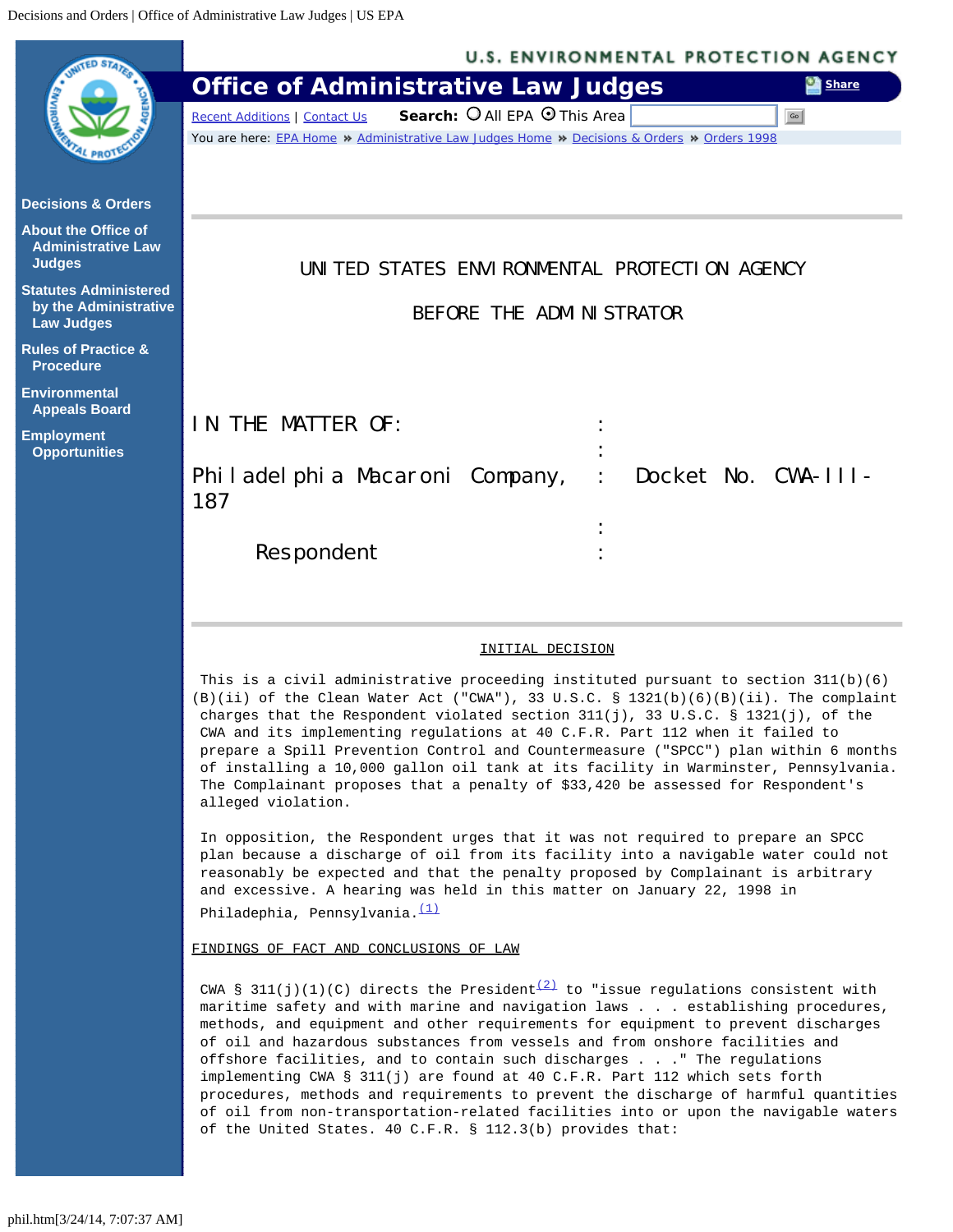<span id="page-0-0"></span>

Philadephia, Pennsylvania. [\(1\)](#page-6-0)

FINDINGS OF FACT AND CONCLUSIONS OF LAW

CWA § 311(j)(1)(C) directs the President<sup>(2)</sup> to "issue regulations consistent with maritime safety and with marine and navigation laws . . . establishing procedures, methods, and equipment and other requirements for equipment to prevent discharges of oil and hazardous substances from vessels and from onshore facilities and offshore facilities, and to contain such discharges . . ." The regulations implementing CWA § 311(j) are found at 40 C.F.R. Part 112 which sets forth procedures, methods and requirements to prevent the discharge of harmful quantities of oil from non-transportation-related facilities into or upon the navigable waters of the United States. 40 C.F.R. § 112.3(b) provides that: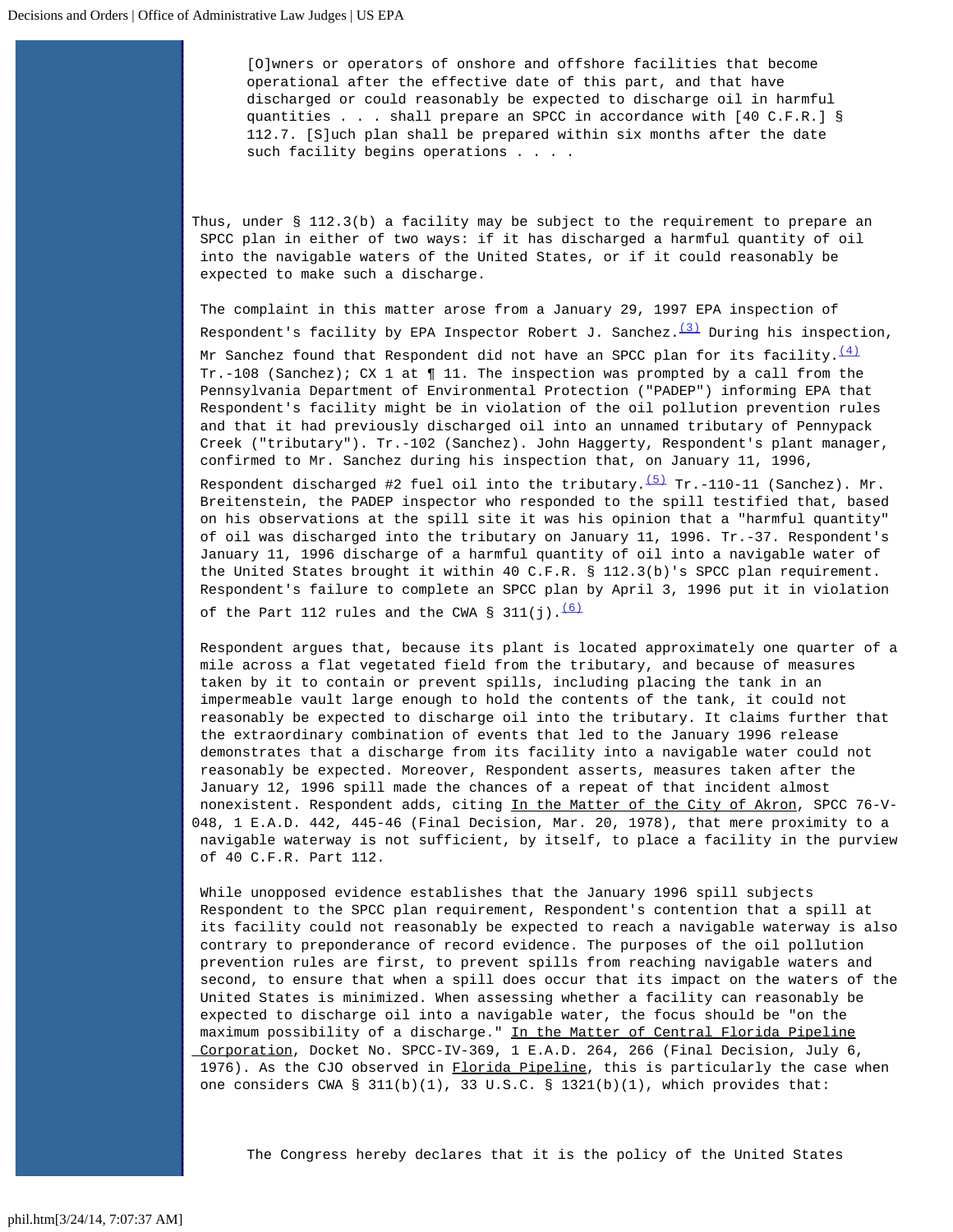[O]wners or operators of onshore and offshore facilities that become operational after the effective date of this part, and that have discharged or could reasonably be expected to discharge oil in harmful quantities . . . shall prepare an SPCC in accordance with [40 C.F.R.] § 112.7. [S]uch plan shall be prepared within six months after the date such facility begins operations . . . .

Thus, under § 112.3(b) a facility may be subject to the requirement to prepare an SPCC plan in either of two ways: if it has discharged a harmful quantity of oil into the navigable waters of the United States, or if it could reasonably be expected to make such a discharge.

The complaint in this matter arose from a January 29, 1997 EPA inspection of Respondent's facility by EPA Inspector Robert J. Sanchez. $\frac{(3)}{2}$  $\frac{(3)}{2}$  $\frac{(3)}{2}$  During his inspection, Mr Sanchez found that Respondent did not have an SPCC plan for its facility.  $\frac{(4)}{(4)}$  $\frac{(4)}{(4)}$  $\frac{(4)}{(4)}$ Tr.-108 (Sanchez); CX 1 at  $\P$  11. The inspection was prompted by a call from the Pennsylvania Department of Environmental Protection ("PADEP") informing EPA that Respondent's facility might be in violation of the oil pollution prevention rules and that it had previously discharged oil into an unnamed tributary of Pennypack Creek ("tributary"). Tr.-102 (Sanchez). John Haggerty, Respondent's plant manager, confirmed to Mr. Sanchez during his inspection that, on January 11, 1996,

Respondent discharged #2 fuel oil into the tributary.<sup>[\(5\)](#page-6-4)</sup> Tr.-110-11 (Sanchez). Mr. Breitenstein, the PADEP inspector who responded to the spill testified that, based on his observations at the spill site it was his opinion that a "harmful quantity" of oil was discharged into the tributary on January 11, 1996. Tr.-37. Respondent's January 11, 1996 discharge of a harmful quantity of oil into a navigable water of the United States brought it within 40 C.F.R. § 112.3(b)'s SPCC plan requirement. Respondent's failure to complete an SPCC plan by April 3, 1996 put it in violation

of the Part 112 rules and the CWA § 311(j). $\frac{(6)}{6}$  $\frac{(6)}{6}$  $\frac{(6)}{6}$ 

Respondent argues that, because its plant is located approximately one quarter of a mile across a flat vegetated field from the tributary, and because of measures taken by it to contain or prevent spills, including placing the tank in an impermeable vault large enough to hold the contents of the tank, it could not reasonably be expected to discharge oil into the tributary. It claims further that the extraordinary combination of events that led to the January 1996 release demonstrates that a discharge from its facility into a navigable water could not reasonably be expected. Moreover, Respondent asserts, measures taken after the January 12, 1996 spill made the chances of a repeat of that incident almost nonexistent. Respondent adds, citing In the Matter of the City of Akron, SPCC 76-V-048, 1 E.A.D. 442, 445-46 (Final Decision, Mar. 20, 1978), that mere proximity to a navigable waterway is not sufficient, by itself, to place a facility in the purview of 40 C.F.R. Part 112.

While unopposed evidence establishes that the January 1996 spill subjects Respondent to the SPCC plan requirement, Respondent's contention that a spill at its facility could not reasonably be expected to reach a navigable waterway is also contrary to preponderance of record evidence. The purposes of the oil pollution prevention rules are first, to prevent spills from reaching navigable waters and second, to ensure that when a spill does occur that its impact on the waters of the United States is minimized. When assessing whether a facility can reasonably be expected to discharge oil into a navigable water, the focus should be "on the maximum possibility of a discharge." In the Matter of Central Florida Pipeline Corporation, Docket No. SPCC-IV-369, 1 E.A.D. 264, 266 (Final Decision, July 6, 1976). As the CJO observed in Florida Pipeline, this is particularly the case when one considers CWA § 311(b)(1), 33 U.S.C. § 1321(b)(1), which provides that:

The Congress hereby declares that it is the policy of the United States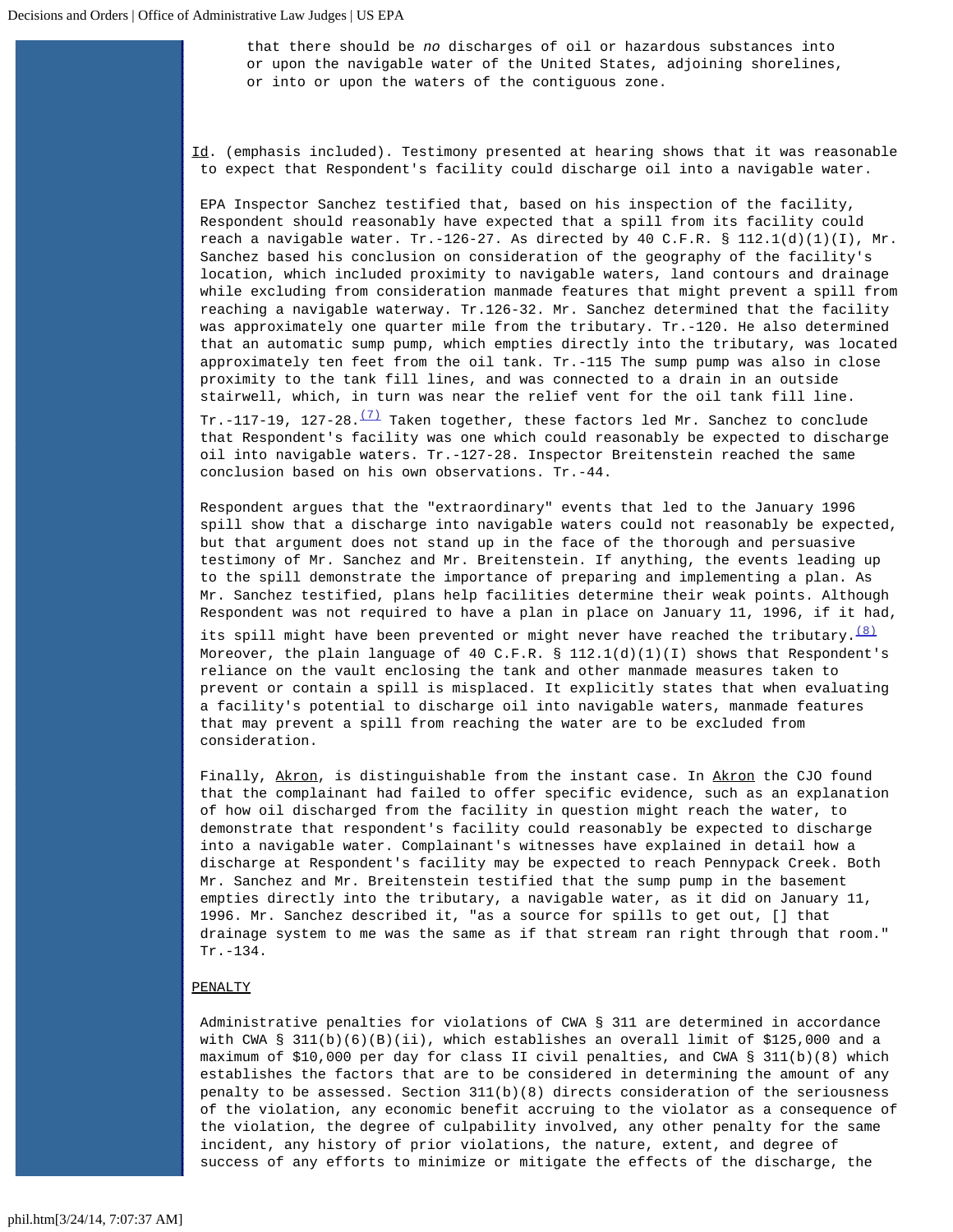that there should be *no* discharges of oil or hazardous substances into or upon the navigable water of the United States, adjoining shorelines, or into or upon the waters of the contiguous zone.

 $Id.$  (emphasis included). Testimony presented at hearing shows that it was reasonable to expect that Respondent's facility could discharge oil into a navigable water.

EPA Inspector Sanchez testified that, based on his inspection of the facility, Respondent should reasonably have expected that a spill from its facility could reach a navigable water. Tr.-126-27. As directed by 40 C.F.R. § 112.1(d)(1)(I), Mr. Sanchez based his conclusion on consideration of the geography of the facility's location, which included proximity to navigable waters, land contours and drainage while excluding from consideration manmade features that might prevent a spill from reaching a navigable waterway. Tr.126-32. Mr. Sanchez determined that the facility was approximately one quarter mile from the tributary. Tr.-120. He also determined that an automatic sump pump, which empties directly into the tributary, was located approximately ten feet from the oil tank. Tr.-115 The sump pump was also in close proximity to the tank fill lines, and was connected to a drain in an outside stairwell, which, in turn was near the relief vent for the oil tank fill line. Tr.-117-19, 127-28. $\frac{(7)}{12}$  $\frac{(7)}{12}$  $\frac{(7)}{12}$  Taken together, these factors led Mr. Sanchez to conclude

 that Respondent's facility was one which could reasonably be expected to discharge oil into navigable waters. Tr.-127-28. Inspector Breitenstein reached the same conclusion based on his own observations. Tr.-44.

Respondent argues that the "extraordinary" events that led to the January 1996 spill show that a discharge into navigable waters could not reasonably be expected, but that argument does not stand up in the face of the thorough and persuasive testimony of Mr. Sanchez and Mr. Breitenstein. If anything, the events leading up to the spill demonstrate the importance of preparing and implementing a plan. As Mr. Sanchez testified, plans help facilities determine their weak points. Although Respondent was not required to have a plan in place on January 11, 1996, if it had,

its spill might have been prevented or might never have reached the tributary.  $\frac{181}{2}$ Moreover, the plain language of 40 C.F.R. §  $112.1(d)(1)(I)$  shows that Respondent's reliance on the vault enclosing the tank and other manmade measures taken to prevent or contain a spill is misplaced. It explicitly states that when evaluating a facility's potential to discharge oil into navigable waters, manmade features that may prevent a spill from reaching the water are to be excluded from consideration.

Finally, Akron, is distinguishable from the instant case. In Akron the CJO found that the complainant had failed to offer specific evidence, such as an explanation of how oil discharged from the facility in question might reach the water, to demonstrate that respondent's facility could reasonably be expected to discharge into a navigable water. Complainant's witnesses have explained in detail how a discharge at Respondent's facility may be expected to reach Pennypack Creek. Both Mr. Sanchez and Mr. Breitenstein testified that the sump pump in the basement empties directly into the tributary, a navigable water, as it did on January 11, 1996. Mr. Sanchez described it, "as a source for spills to get out, [] that drainage system to me was the same as if that stream ran right through that room." Tr.-134.

#### PENALTY

Administrative penalties for violations of CWA § 311 are determined in accordance with CWA § 311(b)(6)(B)(ii), which establishes an overall limit of \$125,000 and a maximum of \$10,000 per day for class II civil penalties, and CWA § 311(b)(8) which establishes the factors that are to be considered in determining the amount of any penalty to be assessed. Section 311(b)(8) directs consideration of the seriousness of the violation, any economic benefit accruing to the violator as a consequence of the violation, the degree of culpability involved, any other penalty for the same incident, any history of prior violations, the nature, extent, and degree of success of any efforts to minimize or mitigate the effects of the discharge, the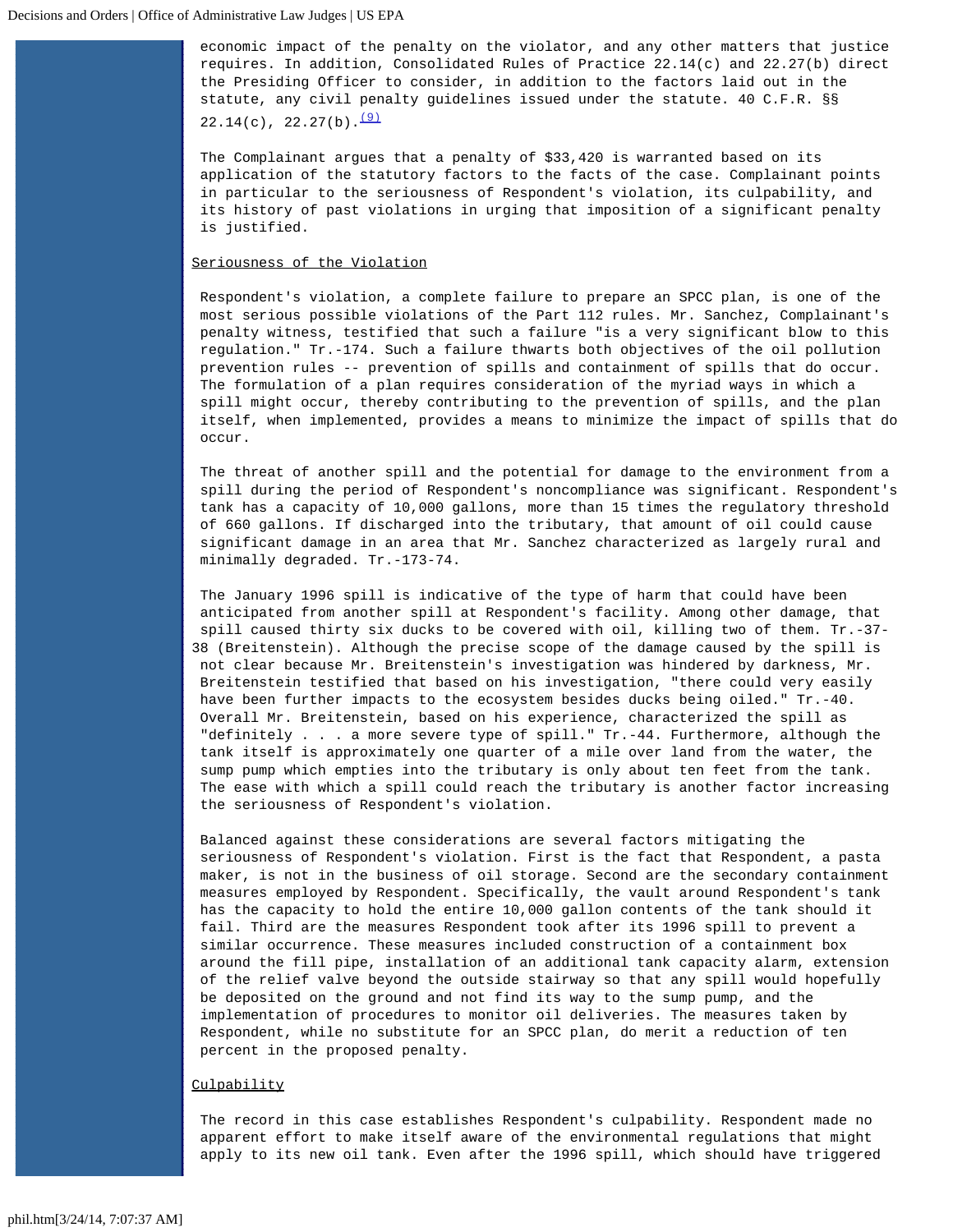economic impact of the penalty on the violator, and any other matters that justice requires. In addition, Consolidated Rules of Practice 22.14(c) and 22.27(b) direct the Presiding Officer to consider, in addition to the factors laid out in the statute, any civil penalty guidelines issued under the statute. 40 C.F.R. §§  $22.14(c)$ ,  $22.27(b)$ .  $(9)$ 

The Complainant argues that a penalty of \$33,420 is warranted based on its application of the statutory factors to the facts of the case. Complainant points in particular to the seriousness of Respondent's violation, its culpability, and its history of past violations in urging that imposition of a significant penalty is justified.

# Seriousness of the Violation

Respondent's violation, a complete failure to prepare an SPCC plan, is one of the most serious possible violations of the Part 112 rules. Mr. Sanchez, Complainant's penalty witness, testified that such a failure "is a very significant blow to this regulation." Tr.-174. Such a failure thwarts both objectives of the oil pollution prevention rules -- prevention of spills and containment of spills that do occur. The formulation of a plan requires consideration of the myriad ways in which a spill might occur, thereby contributing to the prevention of spills, and the plan itself, when implemented, provides a means to minimize the impact of spills that do occur.

The threat of another spill and the potential for damage to the environment from a spill during the period of Respondent's noncompliance was significant. Respondent's tank has a capacity of 10,000 gallons, more than 15 times the regulatory threshold of 660 gallons. If discharged into the tributary, that amount of oil could cause significant damage in an area that Mr. Sanchez characterized as largely rural and minimally degraded. Tr.-173-74.

The January 1996 spill is indicative of the type of harm that could have been anticipated from another spill at Respondent's facility. Among other damage, that spill caused thirty six ducks to be covered with oil, killing two of them. Tr.-37- 38 (Breitenstein). Although the precise scope of the damage caused by the spill is not clear because Mr. Breitenstein's investigation was hindered by darkness, Mr. Breitenstein testified that based on his investigation, "there could very easily have been further impacts to the ecosystem besides ducks being oiled." Tr.-40. Overall Mr. Breitenstein, based on his experience, characterized the spill as "definitely . . . a more severe type of spill." Tr.-44. Furthermore, although the tank itself is approximately one quarter of a mile over land from the water, the sump pump which empties into the tributary is only about ten feet from the tank. The ease with which a spill could reach the tributary is another factor increasing the seriousness of Respondent's violation.

Balanced against these considerations are several factors mitigating the seriousness of Respondent's violation. First is the fact that Respondent, a pasta maker, is not in the business of oil storage. Second are the secondary containment measures employed by Respondent. Specifically, the vault around Respondent's tank has the capacity to hold the entire 10,000 gallon contents of the tank should it fail. Third are the measures Respondent took after its 1996 spill to prevent a similar occurrence. These measures included construction of a containment box around the fill pipe, installation of an additional tank capacity alarm, extension of the relief valve beyond the outside stairway so that any spill would hopefully be deposited on the ground and not find its way to the sump pump, and the implementation of procedures to monitor oil deliveries. The measures taken by Respondent, while no substitute for an SPCC plan, do merit a reduction of ten percent in the proposed penalty.

#### **Culpability**

The record in this case establishes Respondent's culpability. Respondent made no apparent effort to make itself aware of the environmental regulations that might apply to its new oil tank. Even after the 1996 spill, which should have triggered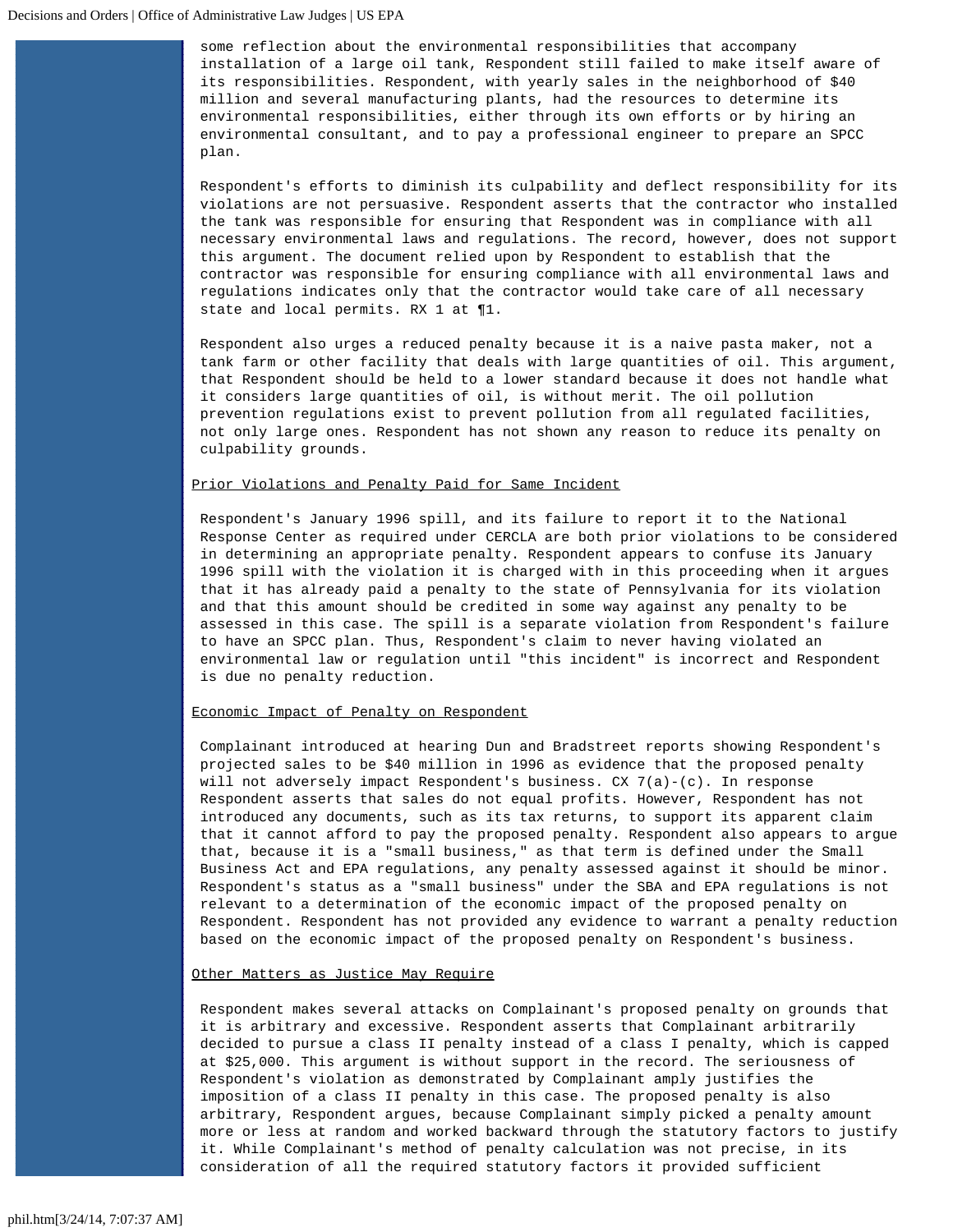some reflection about the environmental responsibilities that accompany installation of a large oil tank, Respondent still failed to make itself aware of its responsibilities. Respondent, with yearly sales in the neighborhood of \$40 million and several manufacturing plants, had the resources to determine its environmental responsibilities, either through its own efforts or by hiring an environmental consultant, and to pay a professional engineer to prepare an SPCC plan.

Respondent's efforts to diminish its culpability and deflect responsibility for its violations are not persuasive. Respondent asserts that the contractor who installed the tank was responsible for ensuring that Respondent was in compliance with all necessary environmental laws and regulations. The record, however, does not support this argument. The document relied upon by Respondent to establish that the contractor was responsible for ensuring compliance with all environmental laws and regulations indicates only that the contractor would take care of all necessary state and local permits. RX 1 at ¶1.

Respondent also urges a reduced penalty because it is a naive pasta maker, not a tank farm or other facility that deals with large quantities of oil. This argument, that Respondent should be held to a lower standard because it does not handle what it considers large quantities of oil, is without merit. The oil pollution prevention regulations exist to prevent pollution from all regulated facilities, not only large ones. Respondent has not shown any reason to reduce its penalty on culpability grounds.

### Prior Violations and Penalty Paid for Same Incident

Respondent's January 1996 spill, and its failure to report it to the National Response Center as required under CERCLA are both prior violations to be considered in determining an appropriate penalty. Respondent appears to confuse its January 1996 spill with the violation it is charged with in this proceeding when it argues that it has already paid a penalty to the state of Pennsylvania for its violation and that this amount should be credited in some way against any penalty to be assessed in this case. The spill is a separate violation from Respondent's failure to have an SPCC plan. Thus, Respondent's claim to never having violated an environmental law or regulation until "this incident" is incorrect and Respondent is due no penalty reduction.

## Economic Impact of Penalty on Respondent

Complainant introduced at hearing Dun and Bradstreet reports showing Respondent's projected sales to be \$40 million in 1996 as evidence that the proposed penalty will not adversely impact Respondent's business. CX 7(a)-(c). In response Respondent asserts that sales do not equal profits. However, Respondent has not introduced any documents, such as its tax returns, to support its apparent claim that it cannot afford to pay the proposed penalty. Respondent also appears to argue that, because it is a "small business," as that term is defined under the Small Business Act and EPA regulations, any penalty assessed against it should be minor. Respondent's status as a "small business" under the SBA and EPA regulations is not relevant to a determination of the economic impact of the proposed penalty on Respondent. Respondent has not provided any evidence to warrant a penalty reduction based on the economic impact of the proposed penalty on Respondent's business.

### Other Matters as Justice May Require

Respondent makes several attacks on Complainant's proposed penalty on grounds that it is arbitrary and excessive. Respondent asserts that Complainant arbitrarily decided to pursue a class II penalty instead of a class I penalty, which is capped at \$25,000. This argument is without support in the record. The seriousness of Respondent's violation as demonstrated by Complainant amply justifies the imposition of a class II penalty in this case. The proposed penalty is also arbitrary, Respondent argues, because Complainant simply picked a penalty amount more or less at random and worked backward through the statutory factors to justify it. While Complainant's method of penalty calculation was not precise, in its consideration of all the required statutory factors it provided sufficient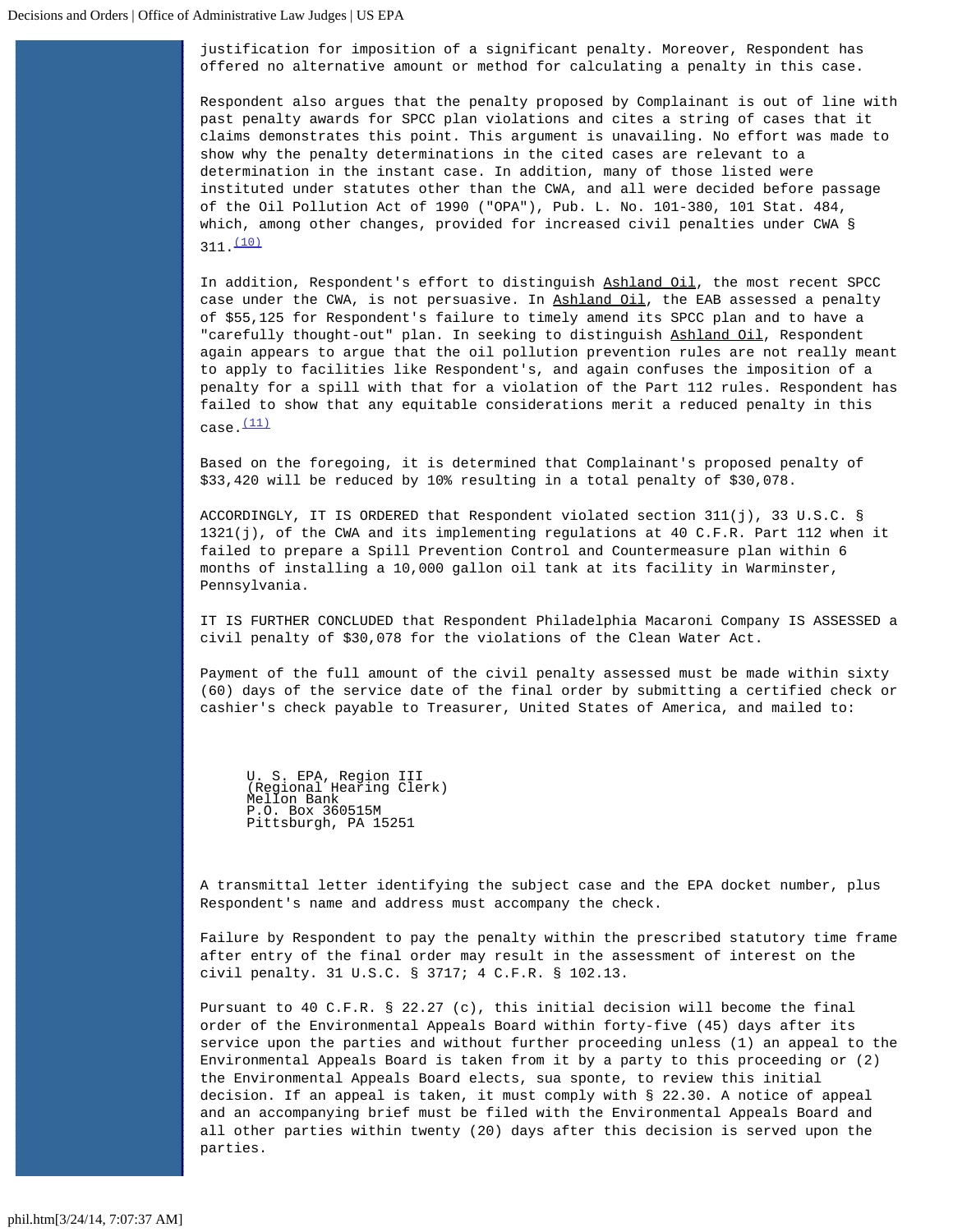justification for imposition of a significant penalty. Moreover, Respondent has offered no alternative amount or method for calculating a penalty in this case.

Respondent also argues that the penalty proposed by Complainant is out of line with past penalty awards for SPCC plan violations and cites a string of cases that it claims demonstrates this point. This argument is unavailing. No effort was made to show why the penalty determinations in the cited cases are relevant to a determination in the instant case. In addition, many of those listed were instituted under statutes other than the CWA, and all were decided before passage of the Oil Pollution Act of 1990 ("OPA"), Pub. L. No. 101-380, 101 Stat. 484, which, among other changes, provided for increased civil penalties under CWA §  $311.$  $(10)$ 

In addition, Respondent's effort to distinguish Ashland Oil, the most recent SPCC case under the CWA, is not persuasive. In Ashland Oil, the EAB assessed a penalty of \$55,125 for Respondent's failure to timely amend its SPCC plan and to have a "carefully thought-out" plan. In seeking to distinguish Ashland Oil, Respondent again appears to argue that the oil pollution prevention rules are not really meant to apply to facilities like Respondent's, and again confuses the imposition of a penalty for a spill with that for a violation of the Part 112 rules. Respondent has failed to show that any equitable considerations merit a reduced penalty in this  $case.$  $(11)$ 

Based on the foregoing, it is determined that Complainant's proposed penalty of \$33,420 will be reduced by 10% resulting in a total penalty of \$30,078.

ACCORDINGLY, IT IS ORDERED that Respondent violated section 311(j), 33 U.S.C. § 1321(j), of the CWA and its implementing regulations at 40 C.F.R. Part 112 when it failed to prepare a Spill Prevention Control and Countermeasure plan within 6 months of installing a 10,000 gallon oil tank at its facility in Warminster, Pennsylvania.

IT IS FURTHER CONCLUDED that Respondent Philadelphia Macaroni Company IS ASSESSED a civil penalty of \$30,078 for the violations of the Clean Water Act.

Payment of the full amount of the civil penalty assessed must be made within sixty (60) days of the service date of the final order by submitting a certified check or cashier's check payable to Treasurer, United States of America, and mailed to:

U. S. EPA, Region III (Regional Hearing Clerk) Mellon Bank P.O. Box 360515M Pittsburgh, PA 15251

A transmittal letter identifying the subject case and the EPA docket number, plus Respondent's name and address must accompany the check.

Failure by Respondent to pay the penalty within the prescribed statutory time frame after entry of the final order may result in the assessment of interest on the civil penalty. 31 U.S.C. § 3717; 4 C.F.R. § 102.13.

Pursuant to 40 C.F.R. § 22.27 (c), this initial decision will become the final order of the Environmental Appeals Board within forty-five (45) days after its service upon the parties and without further proceeding unless (1) an appeal to the Environmental Appeals Board is taken from it by a party to this proceeding or (2) the Environmental Appeals Board elects, sua sponte, to review this initial decision. If an appeal is taken, it must comply with § 22.30. A notice of appeal and an accompanying brief must be filed with the Environmental Appeals Board and all other parties within twenty (20) days after this decision is served upon the parties.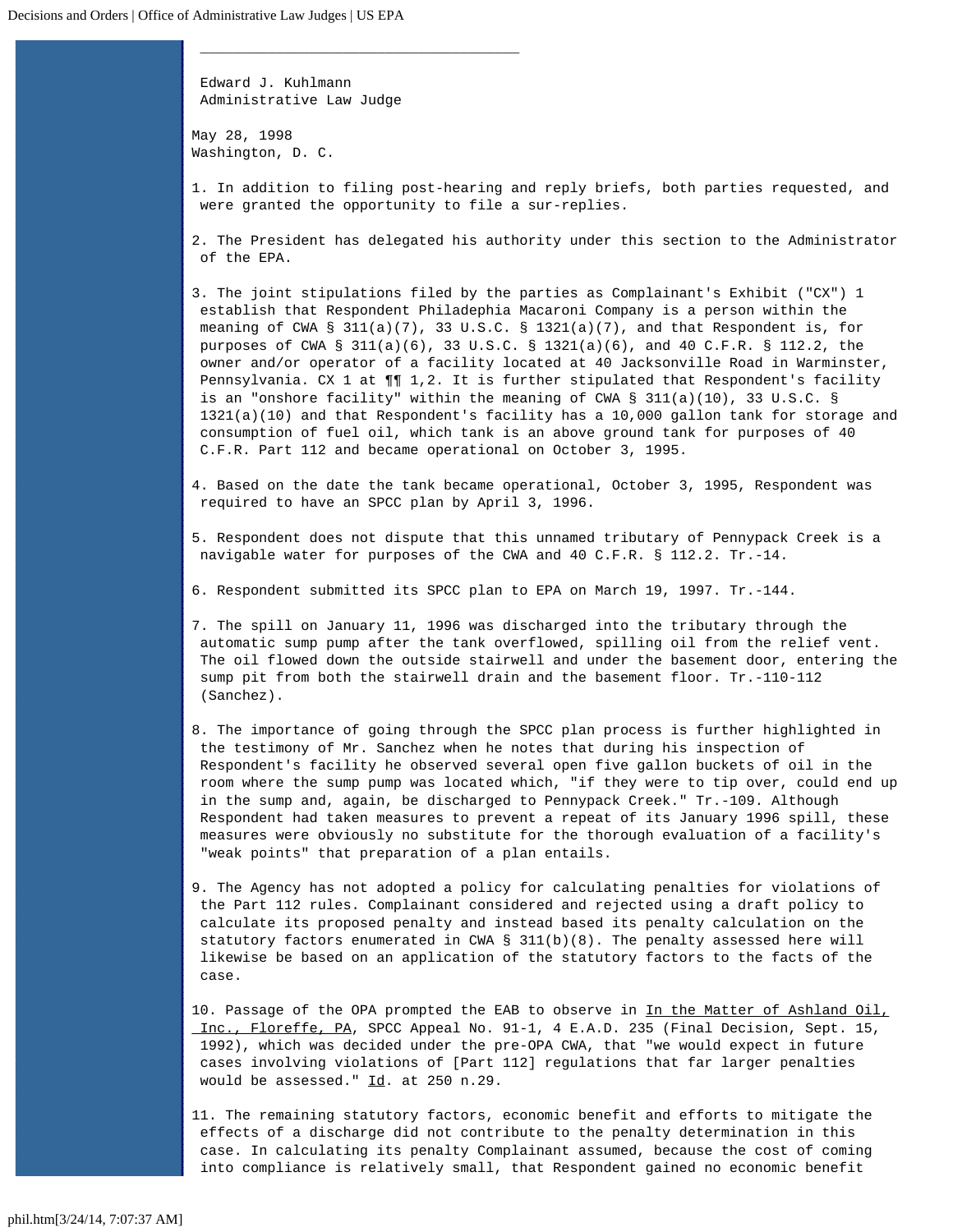Edward J. Kuhlmann Administrative Law Judge

 $\overline{\phantom{a}}$  , and the contract of the contract of  $\overline{\phantom{a}}$ 

May 28, 1998 Washington, D. C.

<span id="page-6-0"></span>1. In addition to filing post-hearing and reply briefs, both parties requested, and were granted the opportunity to file a sur-replies.

<span id="page-6-1"></span>2. The President has delegated his authority under this section to the Administrator of the EPA.

<span id="page-6-2"></span>3. The joint stipulations filed by the parties as Complainant's Exhibit ("CX") 1 establish that Respondent Philadephia Macaroni Company is a person within the meaning of CWA §  $311(a)(7)$ , 33 U.S.C. § 1321(a)(7), and that Respondent is, for purposes of CWA § 311(a)(6), 33 U.S.C. § 1321(a)(6), and 40 C.F.R. § 112.2, the owner and/or operator of a facility located at 40 Jacksonville Road in Warminster, Pennsylvania. CX 1 at ¶¶ 1,2. It is further stipulated that Respondent's facility is an "onshore facility" within the meaning of CWA § 311(a)(10), 33 U.S.C. § 1321(a)(10) and that Respondent's facility has a 10,000 gallon tank for storage and consumption of fuel oil, which tank is an above ground tank for purposes of 40 C.F.R. Part 112 and became operational on October 3, 1995.

<span id="page-6-3"></span>4. Based on the date the tank became operational, October 3, 1995, Respondent was required to have an SPCC plan by April 3, 1996.

<span id="page-6-4"></span>5. Respondent does not dispute that this unnamed tributary of Pennypack Creek is a navigable water for purposes of the CWA and 40 C.F.R. § 112.2. Tr.-14.

<span id="page-6-5"></span>6. Respondent submitted its SPCC plan to EPA on March 19, 1997. Tr.-144.

<span id="page-6-6"></span>7. The spill on January 11, 1996 was discharged into the tributary through the automatic sump pump after the tank overflowed, spilling oil from the relief vent. The oil flowed down the outside stairwell and under the basement door, entering the sump pit from both the stairwell drain and the basement floor. Tr.-110-112 (Sanchez).

<span id="page-6-7"></span>8. The importance of going through the SPCC plan process is further highlighted in the testimony of Mr. Sanchez when he notes that during his inspection of Respondent's facility he observed several open five gallon buckets of oil in the room where the sump pump was located which, "if they were to tip over, could end up in the sump and, again, be discharged to Pennypack Creek." Tr.-109. Although Respondent had taken measures to prevent a repeat of its January 1996 spill, these measures were obviously no substitute for the thorough evaluation of a facility's "weak points" that preparation of a plan entails.

<span id="page-6-8"></span>9. The Agency has not adopted a policy for calculating penalties for violations of the Part 112 rules. Complainant considered and rejected using a draft policy to calculate its proposed penalty and instead based its penalty calculation on the statutory factors enumerated in CWA § 311(b)(8). The penalty assessed here will likewise be based on an application of the statutory factors to the facts of the case.

<span id="page-6-9"></span>10. Passage of the OPA prompted the EAB to observe in In the Matter of Ashland Oil, Inc., Floreffe, PA, SPCC Appeal No. 91-1, 4 E.A.D. 235 (Final Decision, Sept. 15, 1992), which was decided under the pre-OPA CWA, that "we would expect in future cases involving violations of [Part 112] regulations that far larger penalties would be assessed." Id. at 250 n.29.

<span id="page-6-10"></span>11. The remaining statutory factors, economic benefit and efforts to mitigate the effects of a discharge did not contribute to the penalty determination in this case. In calculating its penalty Complainant assumed, because the cost of coming into compliance is relatively small, that Respondent gained no economic benefit